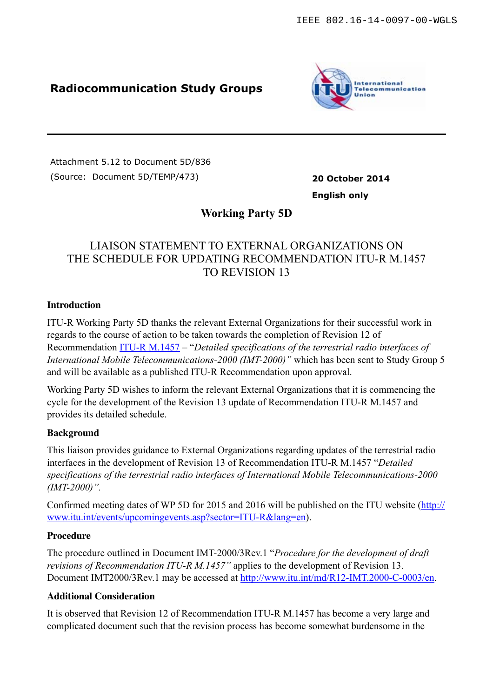## **Radiocommunication Study Groups**



Attachment 5.12 to Document 5D/836 (Source: Document 5D/TEMP/473) **20 October 2014**

**English only**

## **Working Party 5D**

# LIAISON STATEMENT TO EXTERNAL ORGANIZATIONS ON THE SCHEDULE FOR UPDATING RECOMMENDATION ITU-R M.1457 TO REVISION 13

#### **Introduction**

ITU-R Working Party 5D thanks the relevant External Organizations for their successful work in regards to the course of action to be taken towards the completion of Revision 12 of Recommendation [ITU-R M.1457](http://www.itu.int/rec/R-REC-M.1457/en) – "*Detailed specifications of the terrestrial radio interfaces of International Mobile Telecommunications-2000 (IMT-2000)"* which has been sent to Study Group 5 and will be available as a published ITU-R Recommendation upon approval.

Working Party 5D wishes to inform the relevant External Organizations that it is commencing the cycle for the development of the Revision 13 update of Recommendation ITU-R M.1457 and provides its detailed schedule.

#### **Background**

This liaison provides guidance to External Organizations regarding updates of the terrestrial radio interfaces in the development of Revision 13 of Recommendation ITU-R M.1457 "*Detailed specifications of the terrestrial radio interfaces of International Mobile Telecommunications-2000 (IMT-2000)".* 

[Confirmed meeting dates of WP 5D for 2015 and 2016 will be published on the ITU website \(http://](http://www.itu.int/events/upcomingevents.asp?sector=ITU-R&lang=en) www.itu.int/events/upcomingevents.asp?sector=ITU-R&lang=en).

#### **Procedure**

The procedure outlined in Document IMT-2000/3Rev.1 "*Procedure for the development of draft revisions of Recommendation ITU-R M.1457"* applies to the development of Revision 13. Document IMT2000/3Rev.1 may be accessed at<http://www.itu.int/md/R12-IMT.2000-C-0003/en>.

#### **Additional Consideration**

It is observed that Revision 12 of Recommendation ITU-R M.1457 has become a very large and complicated document such that the revision process has become somewhat burdensome in the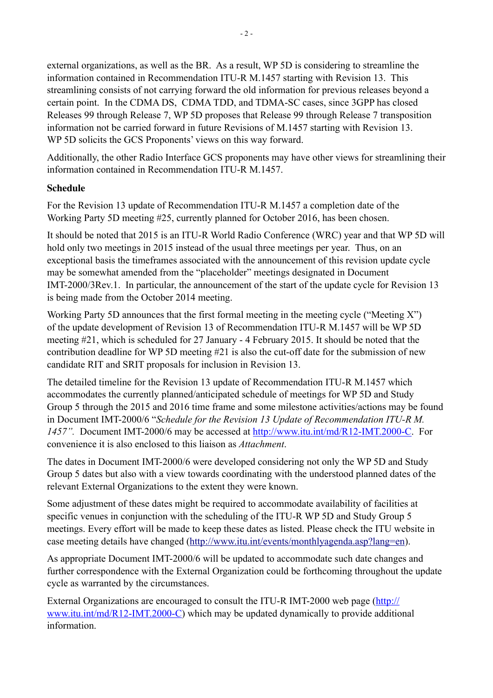external organizations, as well as the BR. As a result, WP 5D is considering to streamline the information contained in Recommendation ITU-R M.1457 starting with Revision 13. This streamlining consists of not carrying forward the old information for previous releases beyond a certain point. In the CDMA DS, CDMA TDD, and TDMA-SC cases, since 3GPP has closed Releases 99 through Release 7, WP 5D proposes that Release 99 through Release 7 transposition information not be carried forward in future Revisions of M.1457 starting with Revision 13. WP 5D solicits the GCS Proponents' views on this way forward.

Additionally, the other Radio Interface GCS proponents may have other views for streamlining their information contained in Recommendation ITU-R M 1457.

#### **Schedule**

For the Revision 13 update of Recommendation ITU-R M.1457 a completion date of the Working Party 5D meeting #25, currently planned for October 2016, has been chosen.

It should be noted that 2015 is an ITU-R World Radio Conference (WRC) year and that WP 5D will hold only two meetings in 2015 instead of the usual three meetings per year. Thus, on an exceptional basis the timeframes associated with the announcement of this revision update cycle may be somewhat amended from the "placeholder" meetings designated in Document IMT-2000/3Rev.1. In particular, the announcement of the start of the update cycle for Revision 13 is being made from the October 2014 meeting.

Working Party 5D announces that the first formal meeting in the meeting cycle ("Meeting  $X$ ") of the update development of Revision 13 of Recommendation ITU-R M.1457 will be WP 5D meeting #21, which is scheduled for 27 January - 4 February 2015. It should be noted that the contribution deadline for WP 5D meeting #21 is also the cut-off date for the submission of new candidate RIT and SRIT proposals for inclusion in Revision 13.

The detailed timeline for the Revision 13 update of Recommendation ITU-R M.1457 which accommodates the currently planned/anticipated schedule of meetings for WP 5D and Study Group 5 through the 2015 and 2016 time frame and some milestone activities/actions may be found in Document IMT-2000/6 "*Schedule for the Revision 13 Update of Recommendation ITU-R M. 1457".* Document IMT-2000/6 may be accessed at [http://www.itu.int/md/R12-IMT.2000-C.](http://www.itu.int/md/R12-IMT.2000-C) For convenience it is also enclosed to this liaison as *Attachment*.

The dates in Document IMT-2000/6 were developed considering not only the WP 5D and Study Group 5 dates but also with a view towards coordinating with the understood planned dates of the relevant External Organizations to the extent they were known.

Some adjustment of these dates might be required to accommodate availability of facilities at specific venues in conjunction with the scheduling of the ITU-R WP 5D and Study Group 5 meetings. Every effort will be made to keep these dates as listed. Please check the ITU website in case meeting details have changed ([http://www.itu.int/events/monthlyagenda.asp?lang=en\)](http://www.itu.int/events/monthlyagenda.asp?lang=en).

As appropriate Document IMT-2000/6 will be updated to accommodate such date changes and further correspondence with the External Organization could be forthcoming throughout the update cycle as warranted by the circumstances.

[External Organizations are encouraged to consult the ITU-R IMT-2000 web page \(http://](http://www.itu.int/md/R12-IMT.2000-C) www.itu.int/md/R12-IMT.2000-C) which may be updated dynamically to provide additional information.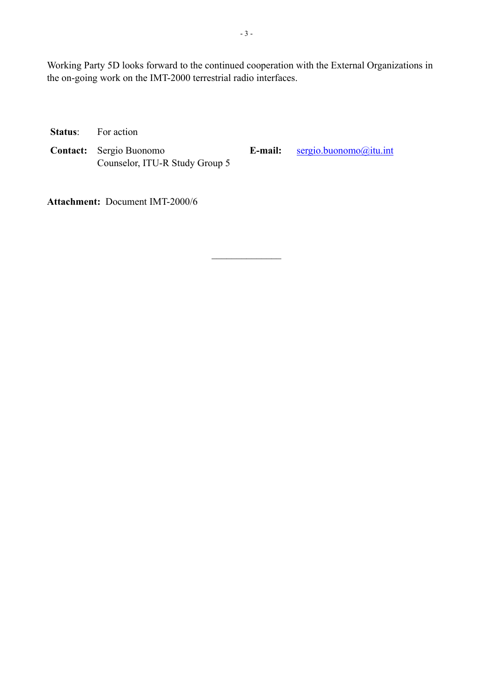Working Party 5D looks forward to the continued cooperation with the External Organizations in the on-going work on the IMT-2000 terrestrial radio interfaces.

 $\mathcal{L}_\text{max}$ 

**Status**: For action

**Contact:** Sergio Buonomo Counselor, ITU-R Study Group 5 **E-mail:** [sergio.buonomo@itu.int](mailto:sergio.buonomo@itu.int)

**Attachment:** Document IMT-2000/6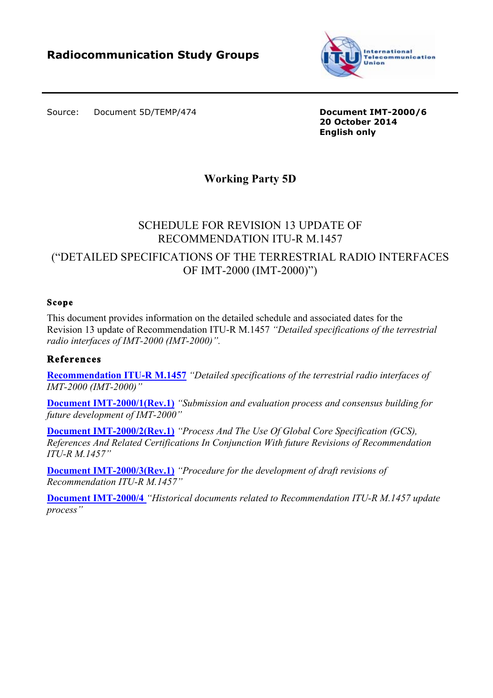

Source: Document 5D/TEMP/474

**Document IMT-2000/6 20 October 2014 English only**

# **Working Party 5D**

# SCHEDULE FOR REVISION 13 UPDATE OF RECOMMENDATION ITU-R M.1457

# ("DETAILED SPECIFICATIONS OF THE TERRESTRIAL RADIO INTERFACES OF IMT-2000 (IMT-2000)")

#### **Scope**

This document provides information on the detailed schedule and associated dates for the Revision 13 update of Recommendation ITU-R M.1457 *"Detailed specifications of the terrestrial radio interfaces of IMT-2000 (IMT-2000)".*

#### **References**

**Recommendation ITU-R M.1457** *"Detailed specifications of the terrestrial radio interfaces of IMT-2000 (IMT-2000)"*

**Document IMT-2000/1(Rev.1)** *"Submission and evaluation process and consensus building for future development of IMT-2000"* 

**Document IMT-2000/2(Rev.1)** *"Process And The Use Of Global Core Specification (GCS), References And Related Certifications In Conjunction With future Revisions of Recommendation ITU-R M.1457"*

**Document IMT-2000/3(Rev.1)** *"Procedure for the development of draft revisions of Recommendation ITU-R M.1457"*

**Document IMT-2000/4** *"Historical documents related to Recommendation ITU-R M.1457 update process"*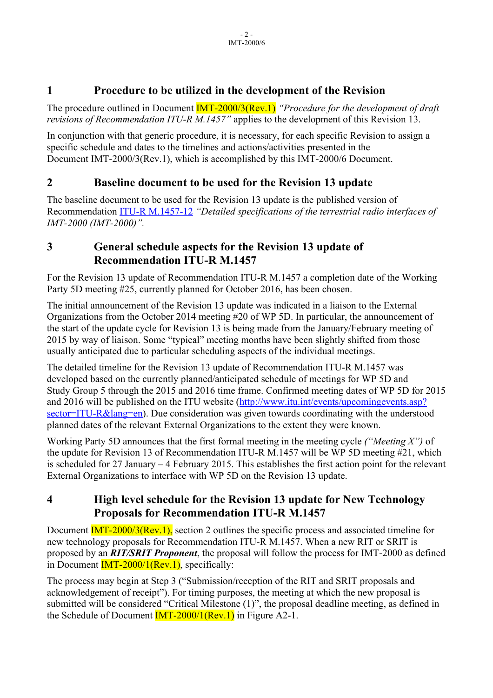# **1 Procedure to be utilized in the development of the Revision**

The procedure outlined in Document IMT-2000/3(Rev.1) *"Procedure for the development of draft revisions of Recommendation ITU-R M.1457"* applies to the development of this Revision 13.

In conjunction with that generic procedure, it is necessary, for each specific Revision to assign a specific schedule and dates to the timelines and actions/activities presented in the Document IMT-2000/3(Rev.1), which is accomplished by this IMT-2000/6 Document.

# **2 Baseline document to be used for the Revision 13 update**

The baseline document to be used for the Revision 13 update is the published version of Recommendation ITU-R M.1457-12 *"Detailed specifications of the terrestrial radio interfaces of IMT-2000 (IMT-2000)".*

# **3 General schedule aspects for the Revision 13 update of Recommendation ITU-R M.1457**

For the Revision 13 update of Recommendation ITU-R M.1457 a completion date of the Working Party 5D meeting #25, currently planned for October 2016, has been chosen.

The initial announcement of the Revision 13 update was indicated in a liaison to the External Organizations from the October 2014 meeting #20 of WP 5D. In particular, the announcement of the start of the update cycle for Revision 13 is being made from the January/February meeting of 2015 by way of liaison. Some "typical" meeting months have been slightly shifted from those usually anticipated due to particular scheduling aspects of the individual meetings.

The detailed timeline for the Revision 13 update of Recommendation ITU-R M.1457 was developed based on the currently planned/anticipated schedule of meetings for WP 5D and Study Group 5 through the 2015 and 2016 time frame. Confirmed meeting dates of WP 5D for 2015 and 2016 will be published on the ITU website (http://www.itu.int/events/upcomingevents.asp? sector=ITU-R&lang=en). Due consideration was given towards coordinating with the understood planned dates of the relevant External Organizations to the extent they were known.

Working Party 5D announces that the first formal meeting in the meeting cycle *("Meeting X")* of the update for Revision 13 of Recommendation ITU-R M.1457 will be WP 5D meeting #21, which is scheduled for 27 January – 4 February 2015. This establishes the first action point for the relevant External Organizations to interface with WP 5D on the Revision 13 update.

# **4 High level schedule for the Revision 13 update for New Technology Proposals for Recommendation ITU-R M.1457**

Document **IMT-2000/3(Rev.1)**, section 2 outlines the specific process and associated timeline for new technology proposals for Recommendation ITU-R M.1457. When a new RIT or SRIT is proposed by an *RIT/SRIT Proponent*, the proposal will follow the process for IMT-2000 as defined in Document IMT-2000/1(Rev.1), specifically:

The process may begin at Step 3 ("Submission/reception of the RIT and SRIT proposals and acknowledgement of receipt"). For timing purposes, the meeting at which the new proposal is submitted will be considered "Critical Milestone (1)", the proposal deadline meeting, as defined in the Schedule of Document  $\frac{IMT-2000}{I(Rev.1)}$  in Figure A2-1.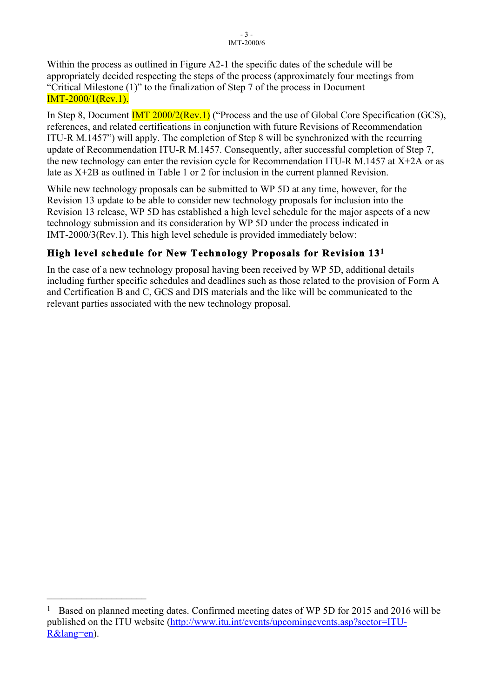Within the process as outlined in Figure A2-1 the specific dates of the schedule will be appropriately decided respecting the steps of the process (approximately four meetings from "Critical Milestone (1)" to the finalization of Step 7 of the process in Document IMT-2000/1(Rev.1).

In Step 8, Document **IMT 2000/2(Rev.1)** ("Process and the use of Global Core Specification (GCS), references, and related certifications in conjunction with future Revisions of Recommendation ITU-R M.1457") will apply. The completion of Step 8 will be synchronized with the recurring update of Recommendation ITU-R M.1457. Consequently, after successful completion of Step 7, the new technology can enter the revision cycle for Recommendation ITU-R M.1457 at X+2A or as late as X+2B as outlined in Table 1 or 2 for inclusion in the current planned Revision.

While new technology proposals can be submitted to WP 5D at any time, however, for the Revision 13 update to be able to consider new technology proposals for inclusion into the Revision 13 release, WP 5D has established a high level schedule for the major aspects of a new technology submission and its consideration by WP 5D under the process indicated in IMT-2000/3(Rev.1). This high level schedule is provided immediately below:

# **High level schedule for New Technology Proposals for Revision 131**

In the case of a new technology proposal having been received by WP 5D, additional details including further specific schedules and deadlines such as those related to the provision of Form A and Certification B and C, GCS and DIS materials and the like will be communicated to the relevant parties associated with the new technology proposal.

 $\mathcal{L}_\text{max}$  , where  $\mathcal{L}_\text{max}$  , we have the set of  $\mathcal{L}_\text{max}$ 

<sup>&</sup>lt;sup>1</sup> Based on planned meeting dates. Confirmed meeting dates of WP 5D for 2015 and 2016 will be published on the ITU website (http://www.itu.int/events/upcomingevents.asp?sector=ITU-R&lang=en).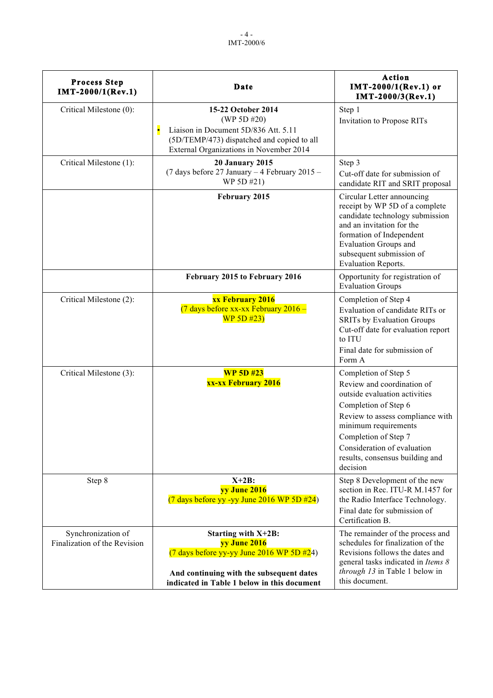| <b>Process Step</b><br>IMT-2000/1(Rev.1)           | Date                                                                                                                                                                                             | Action<br>IMT-2000/1(Rev.1) or<br>IMT-2000/3(Rev.1)                                                                                                                                                                                                                           |
|----------------------------------------------------|--------------------------------------------------------------------------------------------------------------------------------------------------------------------------------------------------|-------------------------------------------------------------------------------------------------------------------------------------------------------------------------------------------------------------------------------------------------------------------------------|
| Critical Milestone (0):                            | 15-22 October 2014<br>(WP 5D#20)<br>Liaison in Document 5D/836 Att. 5.11<br>(5D/TEMP/473) dispatched and copied to all<br>External Organizations in November 2014                                | Step 1<br>Invitation to Propose RITs                                                                                                                                                                                                                                          |
| Critical Milestone (1):                            | <b>20 January 2015</b><br>(7 days before 27 January - 4 February 2015 -<br>WP 5D #21)                                                                                                            | Step 3<br>Cut-off date for submission of<br>candidate RIT and SRIT proposal                                                                                                                                                                                                   |
|                                                    | February 2015                                                                                                                                                                                    | Circular Letter announcing<br>receipt by WP 5D of a complete<br>candidate technology submission<br>and an invitation for the<br>formation of Independent<br><b>Evaluation Groups and</b><br>subsequent submission of<br>Evaluation Reports.                                   |
|                                                    | February 2015 to February 2016                                                                                                                                                                   | Opportunity for registration of<br><b>Evaluation Groups</b>                                                                                                                                                                                                                   |
| Critical Milestone (2):                            | xx February 2016<br>(7 days before xx-xx February 2016 -<br>WP 5D #23)                                                                                                                           | Completion of Step 4<br>Evaluation of candidate RITs or<br><b>SRITs by Evaluation Groups</b><br>Cut-off date for evaluation report<br>to ITU<br>Final date for submission of<br>Form A                                                                                        |
| Critical Milestone (3):                            | <b>WP 5D #23</b><br>xx-xx February 2016                                                                                                                                                          | Completion of Step 5<br>Review and coordination of<br>outside evaluation activities<br>Completion of Step 6<br>Review to assess compliance with<br>minimum requirements<br>Completion of Step 7<br>Consideration of evaluation<br>results, consensus building and<br>decision |
| Step 8                                             | $X+2B$ :<br>yy June 2016<br>$(7 \text{ days before yy -yy June } 2016 \text{ WP } 5D \#24)$                                                                                                      | Step 8 Development of the new<br>section in Rec. ITU-R M.1457 for<br>the Radio Interface Technology.<br>Final date for submission of<br>Certification B.                                                                                                                      |
| Synchronization of<br>Finalization of the Revision | Starting with X+2B:<br>yy June 2016<br>$(7 \text{ days before yy-yy June } 2016 \text{ WP } 5D \#24)$<br>And continuing with the subsequent dates<br>indicated in Table 1 below in this document | The remainder of the process and<br>schedules for finalization of the<br>Revisions follows the dates and<br>general tasks indicated in Items 8<br>through 13 in Table 1 below in<br>this document.                                                                            |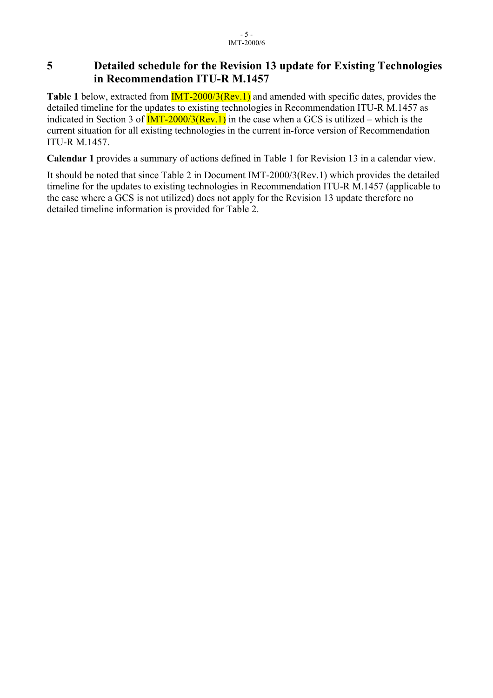# **5 Detailed schedule for the Revision 13 update for Existing Technologies in Recommendation ITU-R M.1457**

**Table 1** below, extracted from **IMT-2000/3(Rev.1)** and amended with specific dates, provides the detailed timeline for the updates to existing technologies in Recommendation ITU-R M.1457 as indicated in Section 3 of  $\overline{IMT-2000/3(Rev.1)}$  in the case when a GCS is utilized – which is the current situation for all existing technologies in the current in-force version of Recommendation ITU-R M.1457.

**Calendar 1** provides a summary of actions defined in Table 1 for Revision 13 in a calendar view.

It should be noted that since Table 2 in Document IMT-2000/3(Rev.1) which provides the detailed timeline for the updates to existing technologies in Recommendation ITU-R M.1457 (applicable to the case where a GCS is not utilized) does not apply for the Revision 13 update therefore no detailed timeline information is provided for Table 2.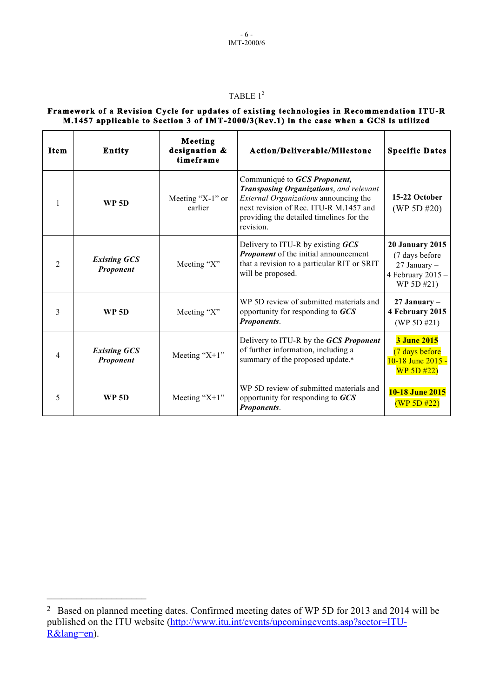#### TABLE  $1^2$

#### **Framework of a Revision Cycle for updates of existing technologies in Recommendation ITU-R M.1457 applicable to Section 3 of IMT-2000/3(Rev.1) in the case when a GCS is utilized**

| <b>Item</b>    | <b>Entity</b>                    | Meeting<br>designation &<br>timeframe | Action/Deliverable/Milestone                                                                                                                                                                                               | <b>Specific Dates</b>                                                                             |
|----------------|----------------------------------|---------------------------------------|----------------------------------------------------------------------------------------------------------------------------------------------------------------------------------------------------------------------------|---------------------------------------------------------------------------------------------------|
| 1              | <b>WP 5D</b>                     | Meeting "X-1" or<br>earlier           | Communiqué to GCS Proponent,<br>Transposing Organizations, and relevant<br><i>External Organizations</i> announcing the<br>next revision of Rec. ITU-R M.1457 and<br>providing the detailed timelines for the<br>revision. | 15-22 October<br>(WP 5D #20)                                                                      |
| $\mathfrak{D}$ | <b>Existing GCS</b><br>Proponent | Meeting "X"                           | Delivery to ITU-R by existing GCS<br><b>Proponent</b> of the initial announcement<br>that a revision to a particular RIT or SRIT<br>will be proposed.                                                                      | <b>20 January 2015</b><br>(7 days before<br>$27$ January $-$<br>4 February $2015 -$<br>WP 5D #21) |
| 3              | <b>WP 5D</b>                     | Meeting "X"                           | WP 5D review of submitted materials and<br>opportunity for responding to GCS<br>Proponents.                                                                                                                                | $27$ January –<br>4 February 2015<br>(WP 5D $#21$ )                                               |
| 4              | <b>Existing GCS</b><br>Proponent | Meeting " $X+1$ "                     | Delivery to ITU-R by the GCS Proponent<br>of further information, including a<br>summary of the proposed update.*                                                                                                          | <b>3 June 2015</b><br>(7 days before<br>10-18 June 2015 -<br>WP 5D #22)                           |
| 5              | <b>WP 5D</b>                     | Meeting " $X+1$ "                     | WP 5D review of submitted materials and<br>opportunity for responding to GCS<br>Proponents.                                                                                                                                | 10-18 June 2015<br>(WP 5D #22)                                                                    |

 $\mathcal{L}_\text{max}$  , where  $\mathcal{L}_\text{max}$  , we have the set of  $\mathcal{L}_\text{max}$ 

<sup>2</sup> Based on planned meeting dates. Confirmed meeting dates of WP 5D for 2013 and 2014 will be published on the ITU website (http://www.itu.int/events/upcomingevents.asp?sector=ITU-R&lang=en).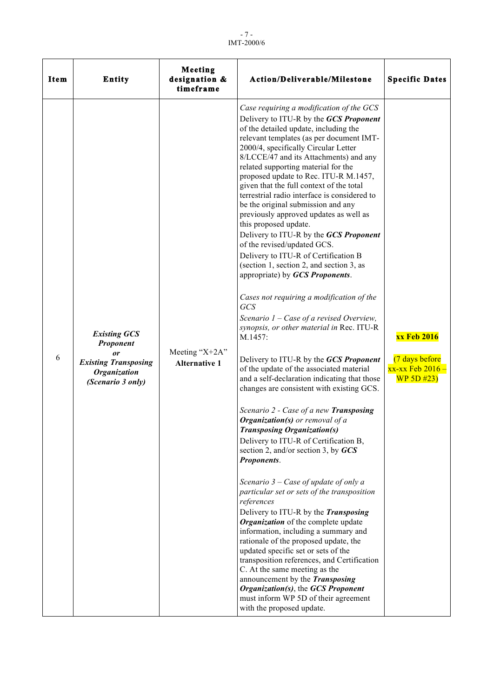- 7 - IMT-2000/6

| <b>Item</b> | <b>Entity</b>                                                                                                     | Meeting<br>designation &<br>timeframe      | Action/Deliverable/Milestone                                                                                                                                                                                                                                                                                                                                                                                                                                                                                                                                                                                                                                                                                                                                                                                                                                                                                                                                                                                                                                                                                                                                                                                                                                                                                                                                                                                                                                                                                                                                                                                                                                                                                                                                                                                                                                               | <b>Specific Dates</b>                                                         |
|-------------|-------------------------------------------------------------------------------------------------------------------|--------------------------------------------|----------------------------------------------------------------------------------------------------------------------------------------------------------------------------------------------------------------------------------------------------------------------------------------------------------------------------------------------------------------------------------------------------------------------------------------------------------------------------------------------------------------------------------------------------------------------------------------------------------------------------------------------------------------------------------------------------------------------------------------------------------------------------------------------------------------------------------------------------------------------------------------------------------------------------------------------------------------------------------------------------------------------------------------------------------------------------------------------------------------------------------------------------------------------------------------------------------------------------------------------------------------------------------------------------------------------------------------------------------------------------------------------------------------------------------------------------------------------------------------------------------------------------------------------------------------------------------------------------------------------------------------------------------------------------------------------------------------------------------------------------------------------------------------------------------------------------------------------------------------------------|-------------------------------------------------------------------------------|
| 6           | <b>Existing GCS</b><br>Proponent<br>or<br><b>Existing Transposing</b><br><b>Organization</b><br>(Scenario 3 only) | Meeting " $X+2A$ "<br><b>Alternative 1</b> | Case requiring a modification of the GCS<br>Delivery to ITU-R by the GCS Proponent<br>of the detailed update, including the<br>relevant templates (as per document IMT-<br>2000/4, specifically Circular Letter<br>8/LCCE/47 and its Attachments) and any<br>related supporting material for the<br>proposed update to Rec. ITU-R M.1457,<br>given that the full context of the total<br>terrestrial radio interface is considered to<br>be the original submission and any<br>previously approved updates as well as<br>this proposed update.<br>Delivery to ITU-R by the GCS Proponent<br>of the revised/updated GCS.<br>Delivery to ITU-R of Certification B<br>(section 1, section 2, and section 3, as<br>appropriate) by GCS Proponents.<br>Cases not requiring a modification of the<br><b>GCS</b><br>Scenario $1 - Case$ of a revised Overview,<br>synopsis, or other material in Rec. ITU-R<br>M.1457:<br>Delivery to ITU-R by the GCS Proponent<br>of the update of the associated material<br>and a self-declaration indicating that those<br>changes are consistent with existing GCS.<br>Scenario 2 - Case of a new Transposing<br><b>Organization(s)</b> or removal of $a$<br><b>Transposing Organization(s)</b><br>Delivery to ITU-R of Certification B,<br>section 2, and/or section 3, by GCS<br>Proponents.<br>Scenario $3 - Case$ of update of only a<br>particular set or sets of the transposition<br>references<br>Delivery to ITU-R by the Transposing<br>Organization of the complete update<br>information, including a summary and<br>rationale of the proposed update, the<br>updated specific set or sets of the<br>transposition references, and Certification<br>C. At the same meeting as the<br>announcement by the Transposing<br>Organization(s), the GCS Proponent<br>must inform WP 5D of their agreement<br>with the proposed update. | <b>xx Feb 2016</b><br>(7 days before<br><u>xx-xx Feb 2016 – </u><br>WP 5D 423 |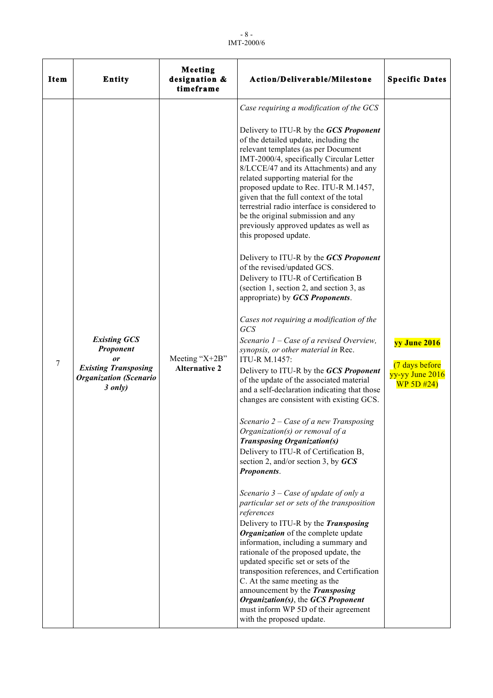- 8 - IMT-2000/6

| <b>Item</b> | <b>Entity</b>                                                                                                     | Meeting<br>designation &<br>timeframe      | Action/Deliverable/Milestone                                                                                                                                                                                                                                                                                                                                                                                                                                                                                                                                                                                                                                                                                                                                                                                                                                                                                                                                                                                                                                                                                                                                                                                                                                                                                                                                                                                                                                                                                                                                                                                                                                                                                                                                                                                                                                                | <b>Specific Dates</b>                                           |
|-------------|-------------------------------------------------------------------------------------------------------------------|--------------------------------------------|-----------------------------------------------------------------------------------------------------------------------------------------------------------------------------------------------------------------------------------------------------------------------------------------------------------------------------------------------------------------------------------------------------------------------------------------------------------------------------------------------------------------------------------------------------------------------------------------------------------------------------------------------------------------------------------------------------------------------------------------------------------------------------------------------------------------------------------------------------------------------------------------------------------------------------------------------------------------------------------------------------------------------------------------------------------------------------------------------------------------------------------------------------------------------------------------------------------------------------------------------------------------------------------------------------------------------------------------------------------------------------------------------------------------------------------------------------------------------------------------------------------------------------------------------------------------------------------------------------------------------------------------------------------------------------------------------------------------------------------------------------------------------------------------------------------------------------------------------------------------------------|-----------------------------------------------------------------|
| 7           | <b>Existing GCS</b><br>Proponent<br>or<br><b>Existing Transposing</b><br><b>Organization</b> (Scenario<br>3 only) | Meeting " $X+2B$ "<br><b>Alternative 2</b> | Case requiring a modification of the GCS<br>Delivery to ITU-R by the GCS Proponent<br>of the detailed update, including the<br>relevant templates (as per Document<br>IMT-2000/4, specifically Circular Letter<br>8/LCCE/47 and its Attachments) and any<br>related supporting material for the<br>proposed update to Rec. ITU-R M.1457,<br>given that the full context of the total<br>terrestrial radio interface is considered to<br>be the original submission and any<br>previously approved updates as well as<br>this proposed update.<br>Delivery to ITU-R by the GCS Proponent<br>of the revised/updated GCS.<br>Delivery to ITU-R of Certification B<br>(section 1, section 2, and section 3, as<br>appropriate) by GCS Proponents.<br>Cases not requiring a modification of the<br><b>GCS</b><br>Scenario $1 - Case$ of a revised Overview,<br>synopsis, or other material in Rec.<br>ITU-R M.1457:<br>Delivery to ITU-R by the GCS Proponent<br>of the update of the associated material<br>and a self-declaration indicating that those<br>changes are consistent with existing GCS.<br>Scenario $2 - Case$ of a new Transposing<br><i>Organization(s)</i> or removal of a<br><b>Transposing Organization(s)</b><br>Delivery to ITU-R of Certification B,<br>section 2, and/or section 3, by $GCS$<br>Proponents.<br>Scenario $3 - Case$ of update of only a<br>particular set or sets of the transposition<br>references<br>Delivery to ITU-R by the Transposing<br>Organization of the complete update<br>information, including a summary and<br>rationale of the proposed update, the<br>updated specific set or sets of the<br>transposition references, and Certification<br>C. At the same meeting as the<br>announcement by the Transposing<br>Organization(s), the GCS Proponent<br>must inform WP 5D of their agreement<br>with the proposed update. | yy June 2016<br>(7 days before<br>yy-yy June 2016<br>WP 5D #24) |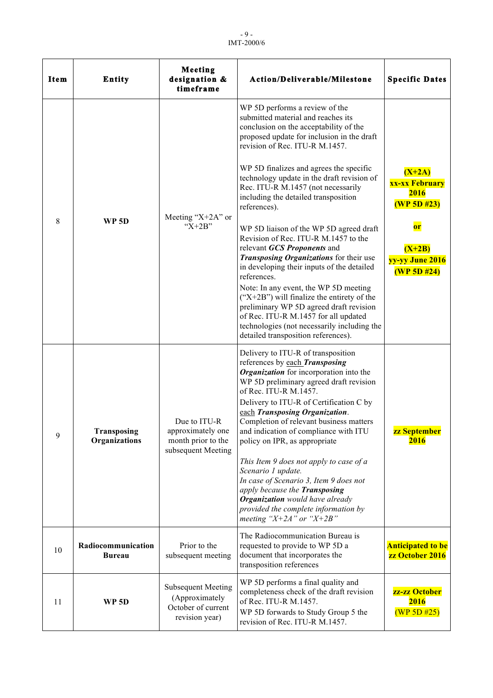| <b>Item</b> | Entity                              | Meeting<br>designation &<br>timeframe                                               | Action/Deliverable/Milestone                                                                                                                                                                                                                                                                                                                                                                                                                                                                                                                                                                                                                                                                                                                                                                                                                                                      | <b>Specific Dates</b>                                                                                        |
|-------------|-------------------------------------|-------------------------------------------------------------------------------------|-----------------------------------------------------------------------------------------------------------------------------------------------------------------------------------------------------------------------------------------------------------------------------------------------------------------------------------------------------------------------------------------------------------------------------------------------------------------------------------------------------------------------------------------------------------------------------------------------------------------------------------------------------------------------------------------------------------------------------------------------------------------------------------------------------------------------------------------------------------------------------------|--------------------------------------------------------------------------------------------------------------|
| 8           | <b>WP 5D</b>                        | Meeting " $X+2A$ " or<br>" $X+2B$ "                                                 | WP 5D performs a review of the<br>submitted material and reaches its<br>conclusion on the acceptability of the<br>proposed update for inclusion in the draft<br>revision of Rec. ITU-R M.1457.<br>WP 5D finalizes and agrees the specific<br>technology update in the draft revision of<br>Rec. ITU-R M.1457 (not necessarily<br>including the detailed transposition<br>references).<br>WP 5D liaison of the WP 5D agreed draft<br>Revision of Rec. ITU-R M.1457 to the<br>relevant GCS Proponents and<br>Transposing Organizations for their use<br>in developing their inputs of the detailed<br>references.<br>Note: In any event, the WP 5D meeting<br>$("X+2B")$ will finalize the entirety of the<br>preliminary WP 5D agreed draft revision<br>of Rec. ITU-R M.1457 for all updated<br>technologies (not necessarily including the<br>detailed transposition references). | $(X+2A)$<br>xx-xx February<br>2016<br>(WP 5D #23)<br><b>or</b><br>$(X+2B)$<br>yy-yy June 2016<br>(WP 5D #24) |
| 9           | Transposing<br>Organizations        | Due to ITU-R<br>approximately one<br>month prior to the<br>subsequent Meeting       | Delivery to ITU-R of transposition<br>references by each Transposing<br>Organization for incorporation into the<br>WP 5D preliminary agreed draft revision<br>of Rec. ITU-R M.1457.<br>Delivery to ITU-R of Certification C by<br>each Transposing Organization.<br>Completion of relevant business matters<br>and indication of compliance with ITU<br>policy on IPR, as appropriate<br>This Item 9 does not apply to case of a<br>Scenario 1 update.<br>In case of Scenario 3, Item 9 does not<br>apply because the Transposing<br><b>Organization</b> would have already<br>provided the complete information by<br>meeting "X+2A" or "X+2B"                                                                                                                                                                                                                                   | <mark>zz September</mark><br>2016                                                                            |
| 10          | Radiocommunication<br><b>Bureau</b> | Prior to the<br>subsequent meeting                                                  | The Radiocommunication Bureau is<br>requested to provide to WP 5D a<br>document that incorporates the<br>transposition references                                                                                                                                                                                                                                                                                                                                                                                                                                                                                                                                                                                                                                                                                                                                                 | <b>Anticipated to be</b><br>zz October 2016                                                                  |
| 11          | <b>WP 5D</b>                        | <b>Subsequent Meeting</b><br>(Approximately<br>October of current<br>revision year) | WP 5D performs a final quality and<br>completeness check of the draft revision<br>of Rec. ITU-R M.1457.<br>WP 5D forwards to Study Group 5 the<br>revision of Rec. ITU-R M.1457.                                                                                                                                                                                                                                                                                                                                                                                                                                                                                                                                                                                                                                                                                                  | zz-zz October<br>2016<br>(WP 5D #25)                                                                         |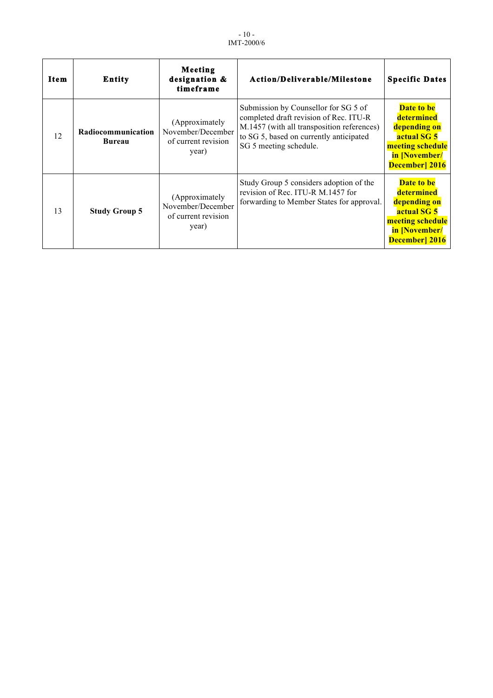- 10 - IMT-2000/6

| <b>Item</b> | <b>Entity</b>                | Meeting<br>designation &<br>timeframe                               | Action/Deliverable/Milestone                                                                                                                                                                      | <b>Specific Dates</b>                                                                                                       |
|-------------|------------------------------|---------------------------------------------------------------------|---------------------------------------------------------------------------------------------------------------------------------------------------------------------------------------------------|-----------------------------------------------------------------------------------------------------------------------------|
| 12          | Radiocommunication<br>Bureau | (Approximately<br>November/December<br>of current revision<br>year) | Submission by Counsellor for SG 5 of<br>completed draft revision of Rec. ITU-R<br>M.1457 (with all transposition references)<br>to SG 5, based on currently anticipated<br>SG 5 meeting schedule. | <b>Date to be</b><br>determined<br>depending on<br>actual SG 5<br>meeting schedule<br>in [November/<br><b>December</b> 2016 |
| 13          | <b>Study Group 5</b>         | (Approximately<br>November/December<br>of current revision<br>year) | Study Group 5 considers adoption of the<br>revision of Rec. ITU-R M.1457 for<br>forwarding to Member States for approval.                                                                         | Date to be<br>determined<br>depending on<br>actual SG 5<br>meeting schedule<br>in [November/<br><b>December</b> 2016        |